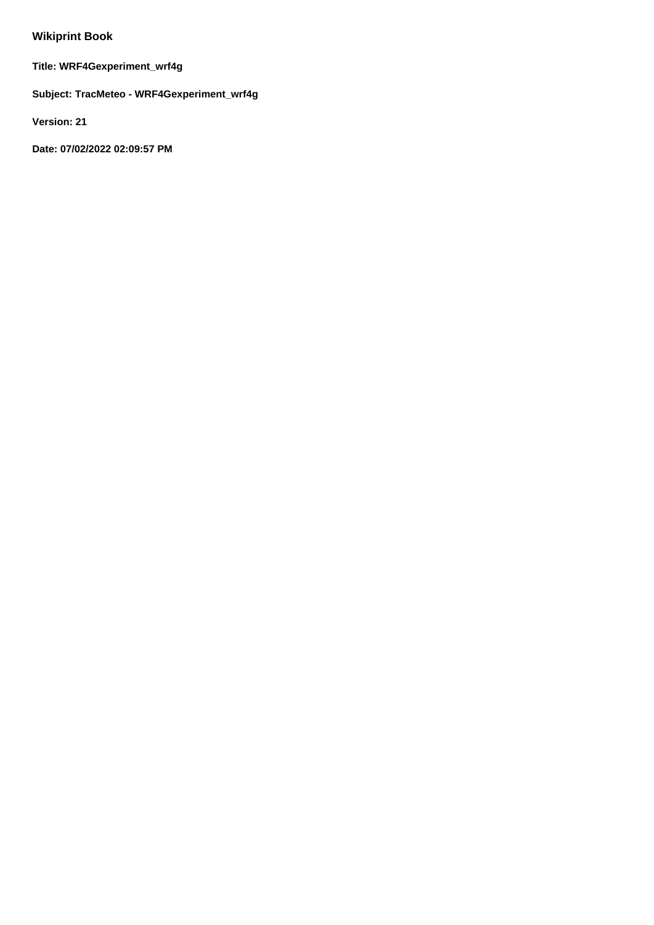# **Wikiprint Book**

**Title: WRF4Gexperiment\_wrf4g**

**Subject: TracMeteo - WRF4Gexperiment\_wrf4g**

**Version: 21**

**Date: 07/02/2022 02:09:57 PM**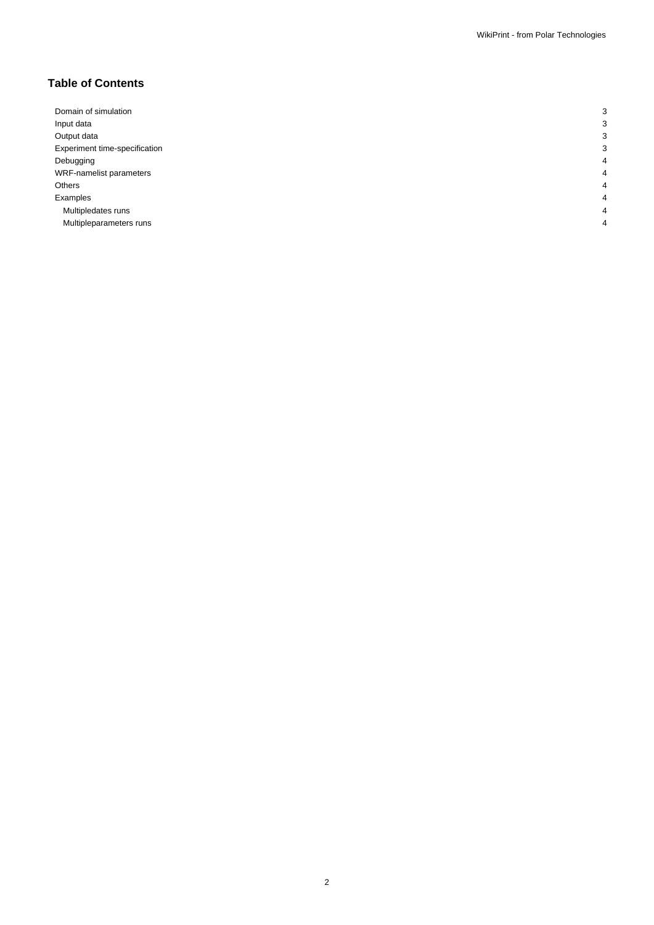# **Table of Contents**

| Domain of simulation          | r |
|-------------------------------|---|
| Input data                    |   |
| Output data                   |   |
| Experiment time-specification | c |
| Debugging                     | 4 |
| WRF-namelist parameters       | 4 |
| Others                        | 4 |
| Examples                      | 4 |
| Multipledates runs            | 4 |
| Multipleparameters runs       | Λ |
|                               |   |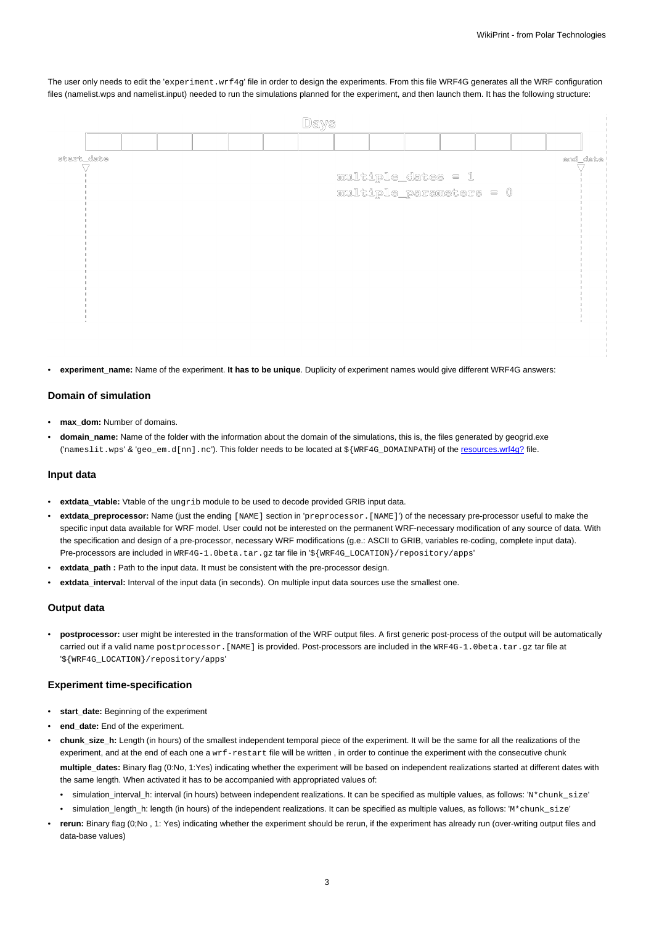The user only needs to edit the 'experiment.wrf4g' file in order to design the experiments. From this file WRF4G generates all the WRF configuration files (namelist.wps and namelist.input) needed to run the simulations planned for the experiment, and then launch them. It has the following structure:

| start date<br>end_date<br>multiple_dates = 1<br>multiple_parameters = 0 |
|-------------------------------------------------------------------------|
|                                                                         |
|                                                                         |
|                                                                         |
|                                                                         |
|                                                                         |
|                                                                         |
|                                                                         |
|                                                                         |
|                                                                         |
|                                                                         |
|                                                                         |
|                                                                         |

experiment name: Name of the experiment. It has to be unique. Duplicity of experiment names would give different WRF4G answers:

## **Domain of simulation**

- **max\_dom:** Number of domains.
- **domain\_name:** Name of the folder with the information about the domain of the simulations, this is, the files generated by geogrid.exe ('nameslit.wps' & 'geo\_em.d[nn].nc'). This folder needs to be located at \${WRF4G\_DOMAINPATH} of the resources.wrf4g? file.

## **Input data**

- **extdata\_vtable:** Vtable of the ungrib module to be used to decode provided GRIB input data.
- **extdata\_preprocessor:** Name (just the ending [NAME] section in 'preprocessor.[NAME]') of the necessary pre-processor useful to make the specific input data available for WRF model. User could not be interested on the permanent WRF-necessary modification of any source of data. With the specification and design of a pre-processor, necessary WRF modifications (g.e.: ASCII to GRIB, variables re-coding, complete input data). Pre-processors are included in WRF4G-1.0beta.tar.gz tar file in '\${WRF4G\_LOCATION}/repository/apps'
- extdata path : Path to the input data. It must be consistent with the pre-processor design.
- **extdata\_interval:** Interval of the input data (in seconds). On multiple input data sources use the smallest one.

#### **Output data**

• **postprocessor:** user might be interested in the transformation of the WRF output files. A first generic post-process of the output will be automatically carried out if a valid name postprocessor. [NAME] is provided. Post-processors are included in the WRF4G-1.0beta.tar.gz tar file at '\${WRF4G\_LOCATION}/repository/apps'

#### **Experiment time-specification**

- **start\_date:** Beginning of the experiment
- end\_date: End of the experiment.
- **chunk\_size\_h:** Length (in hours) of the smallest independent temporal piece of the experiment. It will be the same for all the realizations of the experiment, and at the end of each one a wrf-restart file will be written, in order to continue the experiment with the consecutive chunk **multiple\_dates:** Binary flag (0:No, 1:Yes) indicating whether the experiment will be based on independent realizations started at different dates with the same length. When activated it has to be accompanied with appropriated values of:
	- simulation\_interval\_h: interval (in hours) between independent realizations. It can be specified as multiple values, as follows: 'N\*chunk\_size'
	- simulation\_length\_h: length (in hours) of the independent realizations. It can be specified as multiple values, as follows: 'M\*chunk\_size'
- **rerun:** Binary flag (0;No , 1: Yes) indicating whether the experiment should be rerun, if the experiment has already run (over-writing output files and data-base values)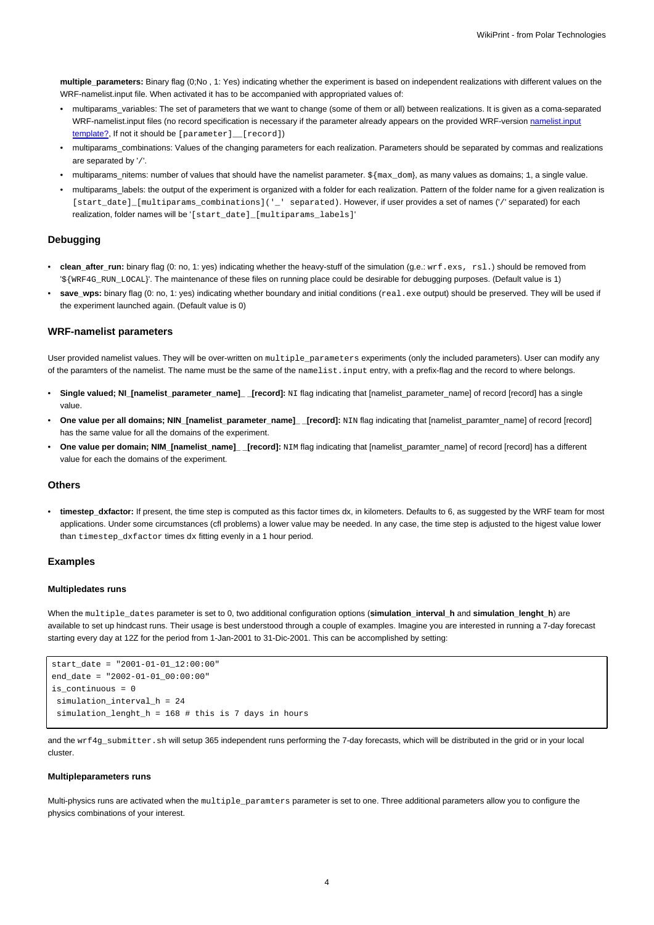**multiple\_parameters:** Binary flag (0;No , 1: Yes) indicating whether the experiment is based on independent realizations with different values on the WRF-namelist.input file. When activated it has to be accompanied with appropriated values of:

- multiparams\_variables: The set of parameters that we want to change (some of them or all) between realizations. It is given as a coma-separated WRF-namelist.input files (no record specification is necessary if the parameter already appears on the provided WRF-version namelist.input template?, If not it should be [parameter] \_ [record])
- multiparams\_combinations: Values of the changing parameters for each realization. Parameters should be separated by commas and realizations are separated by '/'.
- multiparams\_nitems: number of values that should have the namelist parameter. \${max\_dom}, as many values as domains; 1, a single value.
- multiparams\_labels: the output of the experiment is organized with a folder for each realization. Pattern of the folder name for a given realization is [start\_date]\_[multiparams\_combinations]('\_' separated). However, if user provides a set of names ('/' separated) for each realization, folder names will be '[start\_date]\_[multiparams\_labels]'

#### **Debugging**

- **clean\_after\_run:** binary flag (0: no, 1: yes) indicating whether the heavy-stuff of the simulation (g.e.: wrf.exs, rsl.) should be removed from '\${WRF4G\_RUN\_LOCAL}'. The maintenance of these files on running place could be desirable for debugging purposes. (Default value is 1)
- save\_wps: binary flag (0: no, 1: yes) indicating whether boundary and initial conditions (real.exe output) should be preserved. They will be used if the experiment launched again. (Default value is 0)

#### **WRF-namelist parameters**

User provided namelist values. They will be over-written on multiple parameters experiments (only the included parameters). User can modify any of the paramters of the namelist. The name must be the same of the namelist.input entry, with a prefix-flag and the record to where belongs.

- **Single valued; NI\_[namelist\_parameter\_name]\_ \_[record]:** NI flag indicating that [namelist\_parameter\_name] of record [record] has a single value.
- **One value per all domains; NIN\_[namelist\_parameter\_name]\_ \_[record]:** NIN flag indicating that [namelist\_paramter\_name] of record [record] has the same value for all the domains of the experiment.
- **One value per domain; NIM\_[namelist\_name]\_ \_[record]:** NIM flag indicating that [namelist\_paramter\_name] of record [record] has a different value for each the domains of the experiment.

#### **Others**

• **timestep\_dxfactor:** If present, the time step is computed as this factor times dx, in kilometers. Defaults to 6, as suggested by the WRF team for most applications. Under some circumstances (cfl problems) a lower value may be needed. In any case, the time step is adjusted to the higest value lower than timestep dxfactor times dx fitting evenly in a 1 hour period.

#### **Examples**

#### **Multipledates runs**

When the multiple\_dates parameter is set to 0, two additional configuration options (**simulation\_interval\_h** and **simulation\_lenght\_h**) are available to set up hindcast runs. Their usage is best understood through a couple of examples. Imagine you are interested in running a 7-day forecast starting every day at 12Z for the period from 1-Jan-2001 to 31-Dic-2001. This can be accomplished by setting:

```
start\_date = "2001-01-01_12:00:00"end date = "2002-01-01_00:00:00"
is continuous = 0simulation interval h = 24simulation_lenght_h = 168 # this is 7 days in hours
```
and the wrf4g\_submitter.sh will setup 365 independent runs performing the 7-day forecasts, which will be distributed in the grid or in your local cluster.

#### **Multipleparameters runs**

Multi-physics runs are activated when the multiple\_paramters parameter is set to one. Three additional parameters allow you to configure the physics combinations of your interest.